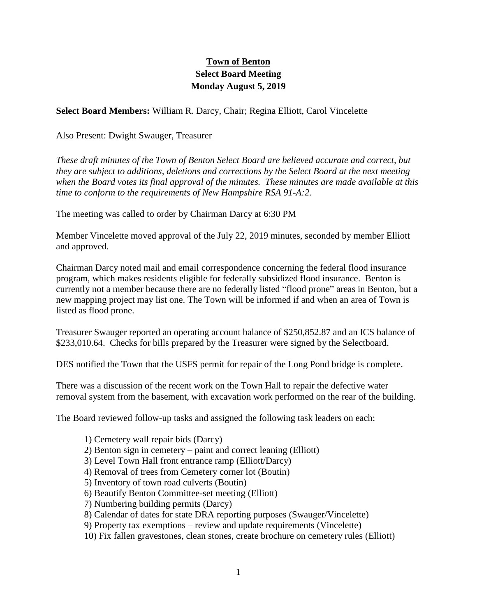## **Town of Benton Select Board Meeting Monday August 5, 2019**

**Select Board Members:** William R. Darcy, Chair; Regina Elliott, Carol Vincelette

Also Present: Dwight Swauger, Treasurer

*These draft minutes of the Town of Benton Select Board are believed accurate and correct, but they are subject to additions, deletions and corrections by the Select Board at the next meeting when the Board votes its final approval of the minutes. These minutes are made available at this time to conform to the requirements of New Hampshire RSA 91-A:2.*

The meeting was called to order by Chairman Darcy at 6:30 PM

Member Vincelette moved approval of the July 22, 2019 minutes, seconded by member Elliott and approved.

Chairman Darcy noted mail and email correspondence concerning the federal flood insurance program, which makes residents eligible for federally subsidized flood insurance. Benton is currently not a member because there are no federally listed "flood prone" areas in Benton, but a new mapping project may list one. The Town will be informed if and when an area of Town is listed as flood prone.

Treasurer Swauger reported an operating account balance of \$250,852.87 and an ICS balance of \$233,010.64. Checks for bills prepared by the Treasurer were signed by the Selectboard.

DES notified the Town that the USFS permit for repair of the Long Pond bridge is complete.

There was a discussion of the recent work on the Town Hall to repair the defective water removal system from the basement, with excavation work performed on the rear of the building.

The Board reviewed follow-up tasks and assigned the following task leaders on each:

- 1) Cemetery wall repair bids (Darcy)
- 2) Benton sign in cemetery paint and correct leaning (Elliott)
- 3) Level Town Hall front entrance ramp (Elliott/Darcy)
- 4) Removal of trees from Cemetery corner lot (Boutin)
- 5) Inventory of town road culverts (Boutin)
- 6) Beautify Benton Committee-set meeting (Elliott)
- 7) Numbering building permits (Darcy)
- 8) Calendar of dates for state DRA reporting purposes (Swauger/Vincelette)
- 9) Property tax exemptions review and update requirements (Vincelette)
- 10) Fix fallen gravestones, clean stones, create brochure on cemetery rules (Elliott)